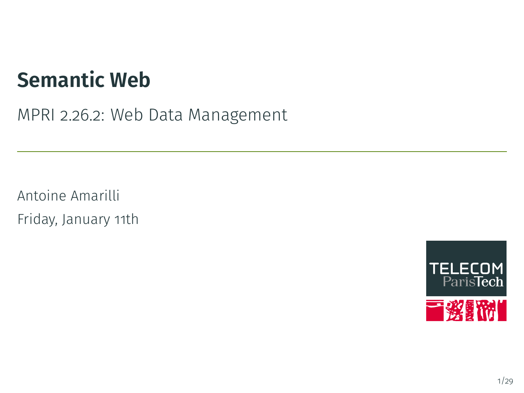## **Semantic Web**

MPRI 2.26.2: Web Data Management

Antoine Amarilli Friday, January 11th

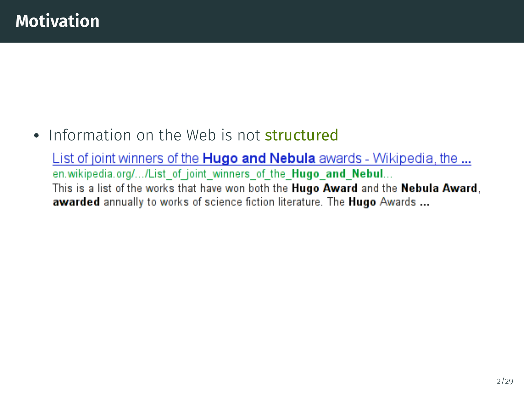# • Information on the Web is not **structured**

List of joint winners of the Hugo and Nebula awards - Wikipedia, the ... en.wikipedia.org/.../List of joint winners of the Hugo and Nebul... This is a list of the works that have won both the Hugo Award and the Nebula Award, awarded annually to works of science fiction literature. The Hugo Awards ...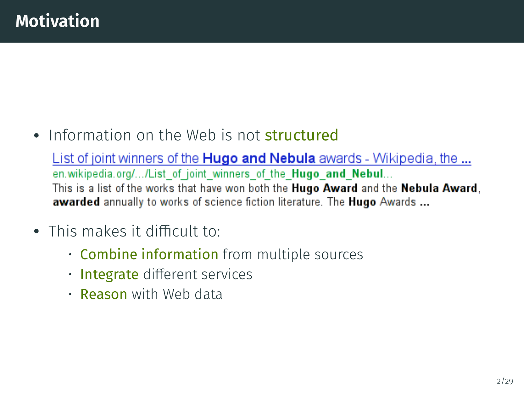• Information on the Web is not **structured** 

List of joint winners of the Hugo and Nebula awards - Wikipedia, the ... en.wikipedia.org/.../List of joint winners of the Hugo and Nebul... This is a list of the works that have won both the Hugo Award and the Nebula Award, awarded annually to works of science fiction literature. The Hugo Awards ...

- This makes it difficult to:
	- **Combine information** from multiple sources
	- Integrate different services
	- **Reason** with Web data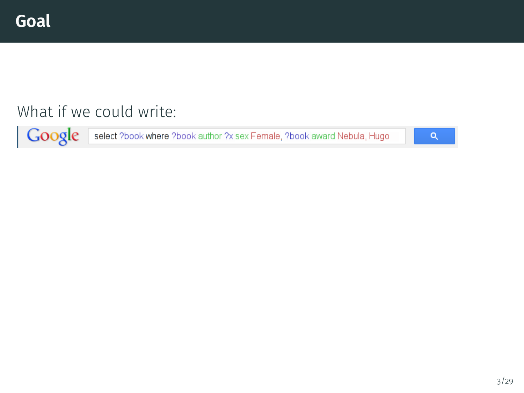#### What if we could write:

Google select ?book where ?book author ?x sex Female, ?book award Nebula, Hugo

 $\alpha$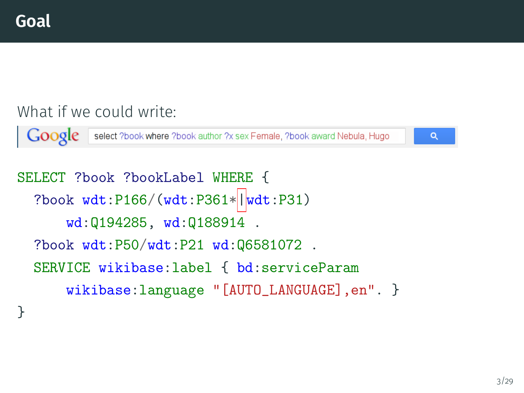#### What if we could write:

Google select ?book where ?book author ?x sex Female, ?book award Nebula, Hugo

Q

```
SELECT ?book ?bookLabel WHERE {
  ?book wdt:P166/(wdt:P361*|wdt:P31)
      wd:Q194285, wd:Q188914 .
  ?book wdt:P50/wdt:P21 wd:Q6581072 .
  SERVICE wikibase:label { bd:serviceParam
      wikibase:language "[AUTO_LANGUAGE],en". }
}
```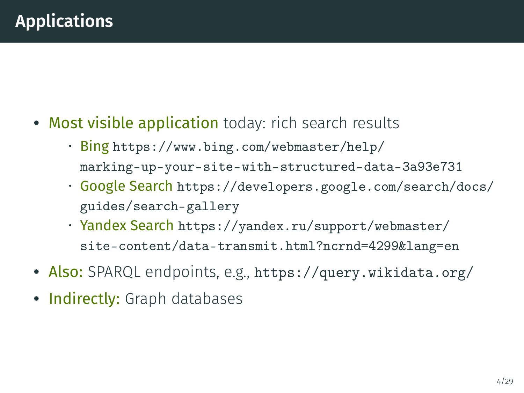- Most visible application today: rich search results
	- Bing [https://www.bing.com/webmaster/help/](https://www.bing.com/webmaster/help/marking-up-your-site-with-structured-data-3a93e731) [marking-up-your-site-with-structured-data-3a93e731](https://www.bing.com/webmaster/help/marking-up-your-site-with-structured-data-3a93e731)
	- Google Search [https://developers.google.com/search/docs/](https://developers.google.com/search/docs/guides/search-gallery) [guides/search-gallery](https://developers.google.com/search/docs/guides/search-gallery)
	- Yandex Search [https://yandex.ru/support/webmaster/](https://yandex.ru/support/webmaster/site-content/data-transmit.html?ncrnd=4299&lang=en) [site-content/data-transmit.html?ncrnd=4299&lang=en](https://yandex.ru/support/webmaster/site-content/data-transmit.html?ncrnd=4299&lang=en)
- Also: SPARQL endpoints, e.g., <https://query.wikidata.org/>
- Indirectly: Graph databases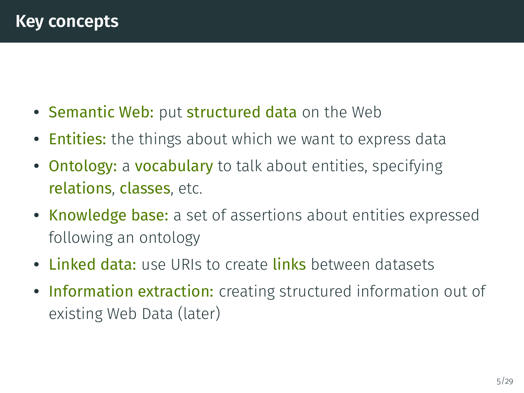- Semantic Web: put structured data on the Web
- Entities: the things about which we want to express data
- Ontology: a vocabulary to talk about entities, specifying relations, classes, etc.
- Knowledge base: a set of assertions about entities expressed following an ontology
- Linked data: use URIs to create links between datasets
- Information extraction: creating structured information out of existing Web Data (later)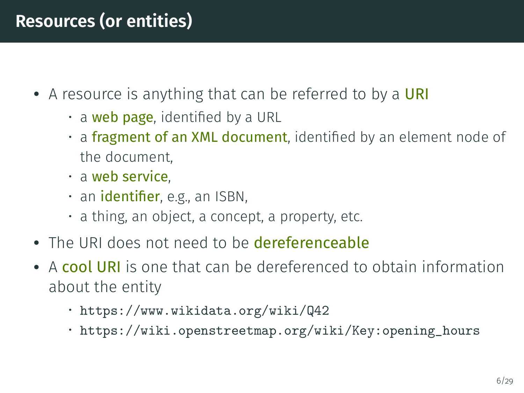## **Resources (or entities)**

- A resource is anything that can be referred to by a URI
	- $\cdot$  a web page, identified by a URL
	- $\cdot$  a fragment of an XML document, identified by an element node of the document,
	- a web service,
	- an **identifier**, e.g., an ISBN,
	- a thing, an object, a concept, a property, etc.
- The URI does not need to be dereferenceable
- A cool URI is one that can be dereferenced to obtain information about the entity
	- <https://www.wikidata.org/wiki/Q42>
	- [https://wiki.openstreetmap.org/wiki/Key:opening\\_hours](https://wiki.openstreetmap.org/wiki/Key:opening_hours)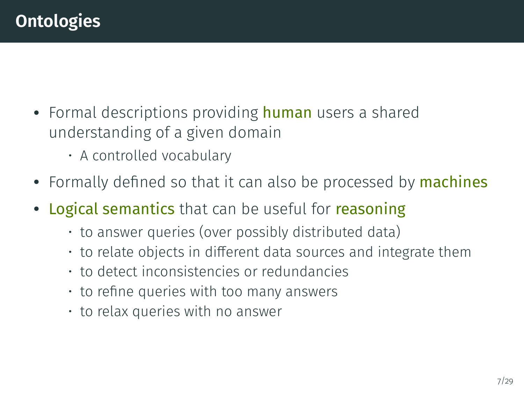- Formal descriptions providing **human** users a shared understanding of a given domain
	- A controlled vocabulary
- Formally defined so that it can also be processed by machines
- Logical semantics that can be useful for reasoning
	- to answer queries (over possibly distributed data)
	- $\cdot$  to relate objects in different data sources and integrate them
	- to detect inconsistencies or redundancies
	- $\cdot$  to refine queries with too many answers
	- to relax queries with no answer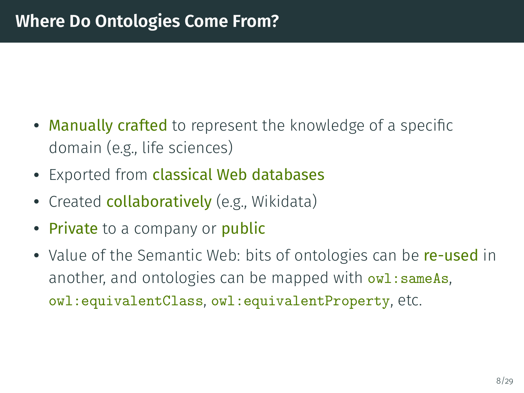- Manually crafted to represent the knowledge of a specific domain (e.g., life sciences)
- Exported from classical Web databases
- Created collaboratively (e.g., Wikidata)
- Private to a company or public
- Value of the Semantic Web: bits of ontologies can be re-used in another, and ontologies can be mapped with  $ov1:sameAs$ , owl:equivalentClass, owl:equivalentProperty, etc.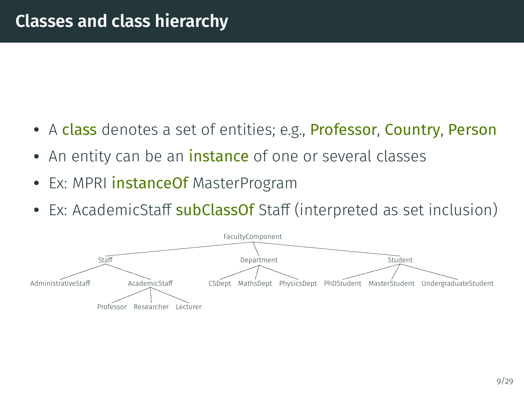- A class denotes a set of entities; e.g., Professor, Country, Person
- An entity can be an <mark>instance</mark> of one or several classes
- Ex: MPRI instanceOf MasterProgram
- Ex: AcademicStaf<mark>f subClassOf</mark> Staff (interpreted as set inclusion)

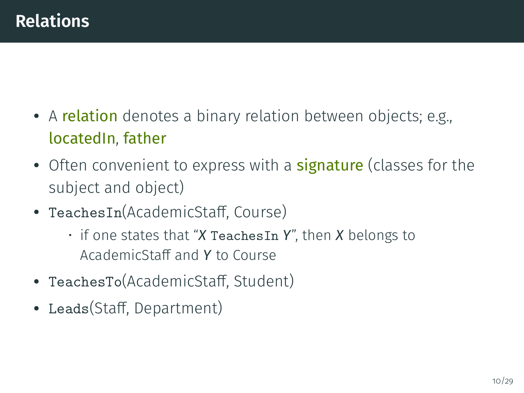- A relation denotes a binary relation between objects; e.g., locatedIn, father
- Often convenient to express with a **signature** (classes for the subject and object)
- TeachesIn(AcademicStaff, Course)
	- if one states that "*X* TeachesIn *Y*", then *X* belongs to AcademicStaff and **Y** to Course
- TeachesTo(AcademicStaff, Student)
- Leads(Staff, Department)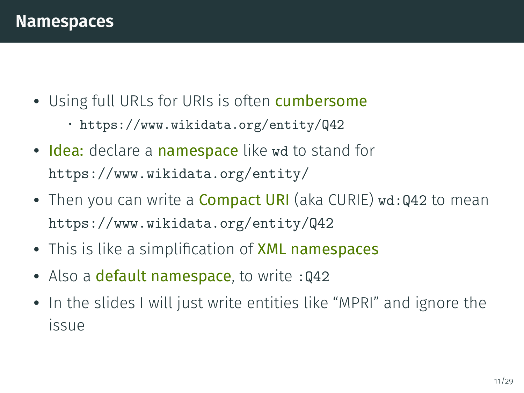- Using full URLs for URIs is often cumbersome
	- <https://www.wikidata.org/entity/Q42>
- Idea: declare a namespace like wd to stand for <https://www.wikidata.org/entity/>
- Then you can write a Compact URI (aka CURIE) wd:Q42 to mean <https://www.wikidata.org/entity/Q42>
- This is like a simplification of <mark>XML namespaces</mark>
- Also a default namespace, to write : 042
- In the slides I will just write entities like "MPRI" and ignore the issue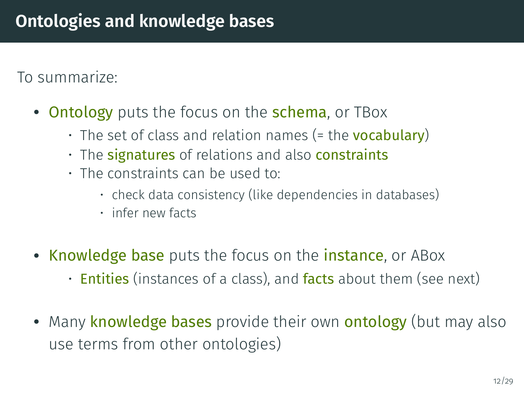To summarize:

- Ontology puts the focus on the schema, or TBox
	- The set of class and relation names (= the **vocabulary**)
	- The signatures of relations and also constraints
	- The constraints can be used to:
		- check data consistency (like dependencies in databases)
		- infer new facts
- Knowledge base puts the focus on the *instance*, or ABox
	- $\cdot$  Entities (instances of a class), and facts about them (see next)
- Many knowledge bases provide their own ontology (but may also use terms from other ontologies)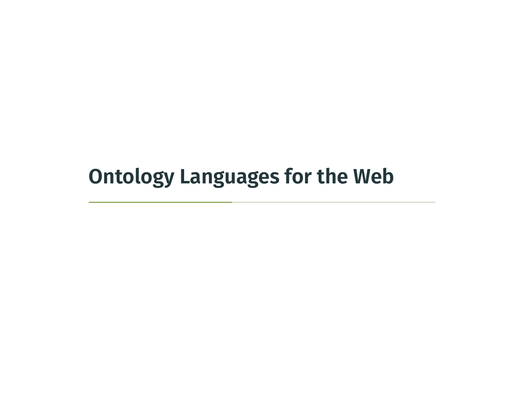# <span id="page-14-0"></span>**[Ontology Languages for the Web](#page-14-0)**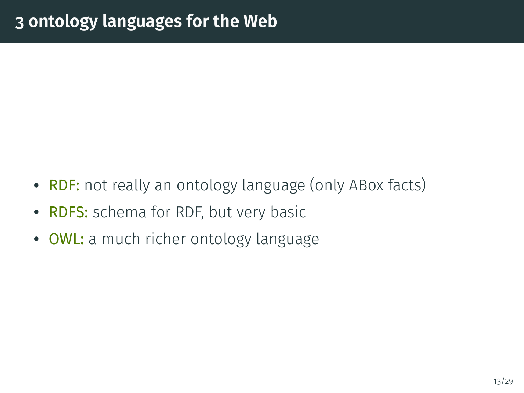- RDF: not really an ontology language (only ABox facts)
- RDFS: schema for RDF, but very basic
- OWL: a much richer ontology language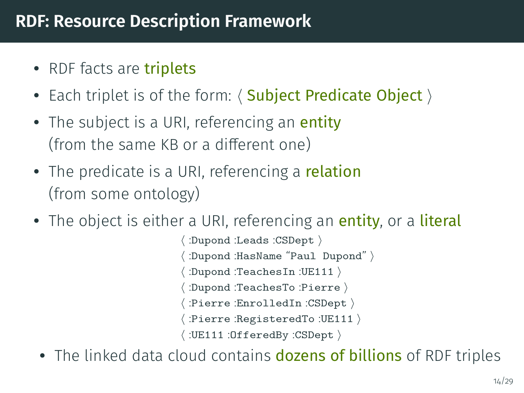## **RDF: Resource Description Framework**

- RDF facts are triplets
- Each triplet is of the form:  $\langle$  Subject Predicate Object  $\rangle$
- The subject is a URI, referencing an entity (from the same KB or a different one)
- The predicate is a URI, referencing a relation (from some ontology)
- The object is either a URI, referencing an entity, or a literal

:Dupond :Leads :CSDept \ :Dupond :HasName "Paul Dupond" > :Dupond :TeachesIn :UE111  $\rangle$ :Dupond :TeachesTo :Pierre > :Pierre :EnrolledIn :CSDept \  $:$ Pierre :RegisteredTo :UE111  $\rangle$ :UE111 :OfferedBy :CSDept  $\rangle$ 

• The linked data cloud contains dozens of billions of RDF triples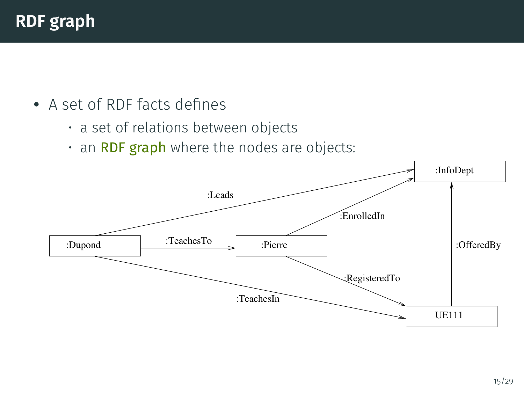- A set of RDF facts defines
	- a set of relations between objects
	- $\cdot$  an RDF graph where the nodes are objects:

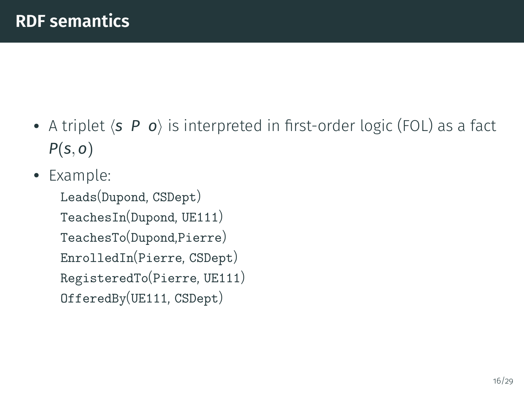- A triplet  $\langle s \mid P \mid o \rangle$  is interpreted in first-order logic (FOL) as a fact *P*(*s*, *o*)
- Example:

Leads(Dupond, CSDept) TeachesIn(Dupond, UE111) TeachesTo(Dupond,Pierre) EnrolledIn(Pierre, CSDept) RegisteredTo(Pierre, UE111) OfferedBy(UE111, CSDept)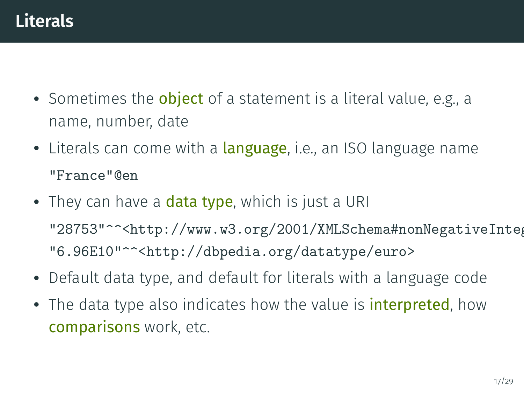- Sometimes the object of a statement is a literal value, e.g., a name, number, date
- Literals can come with a <mark>language</mark>, i.e., an ISO language name "France"@en
- $\bullet\,$  They can have a  $\mathrm{data}$  type, which is just a URI "28753"^^<http://www.w3.org/2001/XMLSchema#nonNegativeInteg "6.96E10"^^<http://dbpedia.org/datatype/euro>
- Default data type, and default for literals with a language code
- The data type also indicates how the value is *interpreted*, how comparisons work, etc.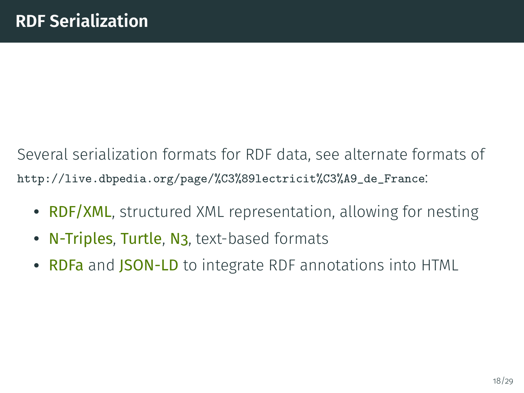Several serialization formats for RDF data, see alternate formats of [http://live.dbpedia.org/page/%C3%89lectricit%C3%A9\\_de\\_France](http://live.dbpedia.org/page/%C3%89lectricit%C3%A9_de_France):

- RDF/XML, structured XML representation, allowing for nesting
- N-Triples, Turtle, N<sub>3</sub>, text-based formats
- RDFa and JSON-LD to integrate RDF annotations into HTML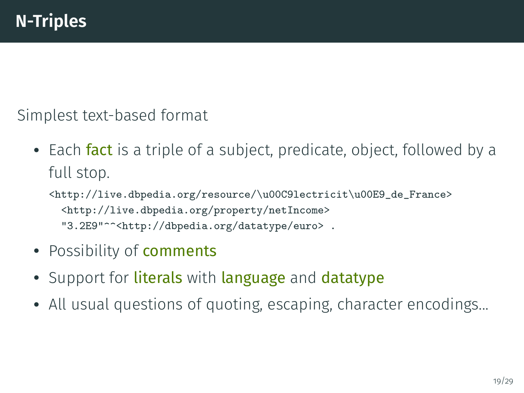Simplest text-based format

- Each fact is a triple of a subject, predicate, object, followed by a full stop.
	- <http://live.dbpedia.org/resource/\u00C9lectricit\u00E9\_de\_France> <http://live.dbpedia.org/property/netIncome> "3.2E9"^^<http://dbpedia.org/datatype/euro> .
- Possibility of **comments**
- Support for literals with language and datatype
- All usual questions of quoting, escaping, character encodings...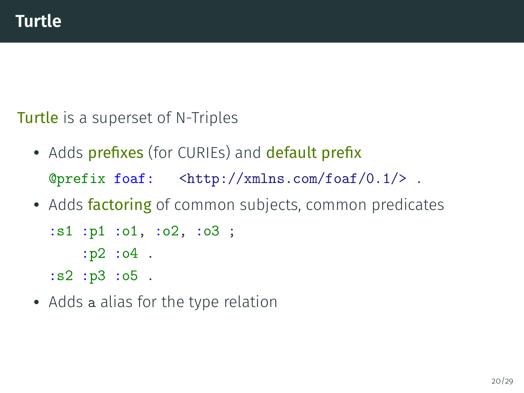**Turtle** is a superset of N-Triples

- Adds prefixes (for CURIEs) and default prefix @prefix foaf: <http://xmlns.com/foaf/0.1/> .
- Adds factoring of common subjects, common predicates

```
:s1 :p1 :o1, :o2, :o3 ;
    :p2 :o4 .
:s2 :p3 :o5 .
```
• Adds a alias for the type relation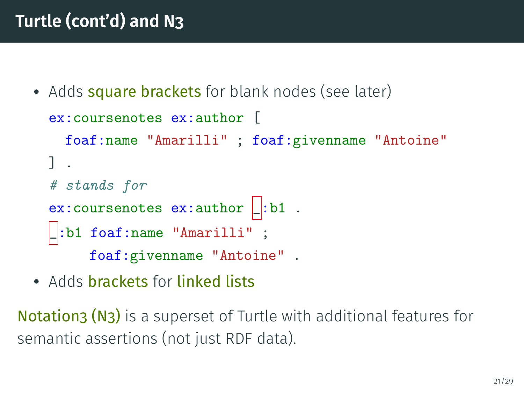## **Turtle (cont'd) and N3**

• Adds square brackets for blank nodes (see later)

```
ex:coursenotes ex:author [
  foaf:name "Amarilli" ; foaf:givenname "Antoine"
] .
# stands for
ex: coursenotes ex: author \Box: b1.
_:b1 foaf:name "Amarilli" ;
     foaf:givenname "Antoine" .
```
• Adds brackets for linked lists

Notation3 (N3) is a superset of Turtle with additional features for semantic assertions (not just RDF data).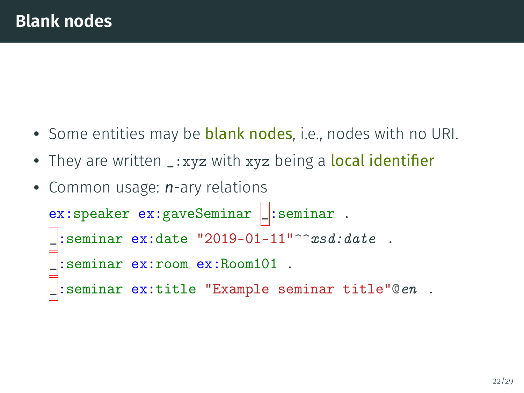- Some entities may be blank nodes, i.e., nodes with no URI.
- They are written \_:xyz with xyz being a local identifier
- Common usage: *n*-ary relations ex: speaker ex: gaveSeminar  $\Box$ : seminar . : seminar ex:date  $"2019-01-11"$ ^^*xsd:date* . \_:seminar ex:room ex:Room101 .

```
_:seminar ex:title "Example seminar title"@en .
```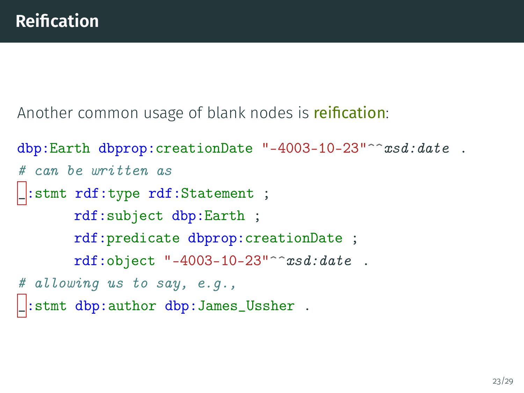Another common usage of blank nodes is reification:

```
dbp:Earth dbprop:creationDate "-4003-10-23"^^xsd:date.
# can be written as
_:stmt rdf:type rdf:Statement ;
       rdf:subject dbp:Earth ;
       rdf:predicate dbprop:creationDate ;
       rdf:object "-4003-10-23"^^xsd:date .
# allowing us to say, e.g.,
  stmt dbp:author dbp:James_Ussher .
```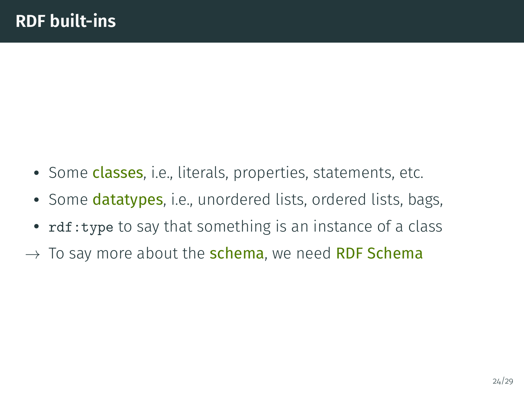- Some classes, i.e., literals, properties, statements, etc.
- Some datatypes, i.e., unordered lists, ordered lists, bags,
- rdf:type to say that something is an instance of a class
- $\rightarrow$  To say more about the **schema**, we need **RDF Schema**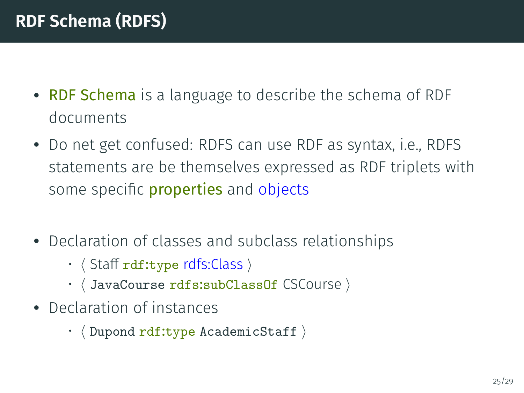- RDF Schema is a language to describe the schema of RDF documents
- Do net get confused: RDFS can use RDF as syntax, i.e., RDFS statements are be themselves expressed as RDF triplets with some specific **properties** and objects
- Declaration of classes and subclass relationships
	- $\cdot$   $\langle$  Staff rdf:type rdfs:Class  $\rangle$
	- $\cdot$   $\langle$  JavaCourse rdfs:subClassOf CSCourse  $\rangle$
- Declaration of instances
	- $\cdot$   $\langle$  Dupond rdf:type AcademicStaff  $\rangle$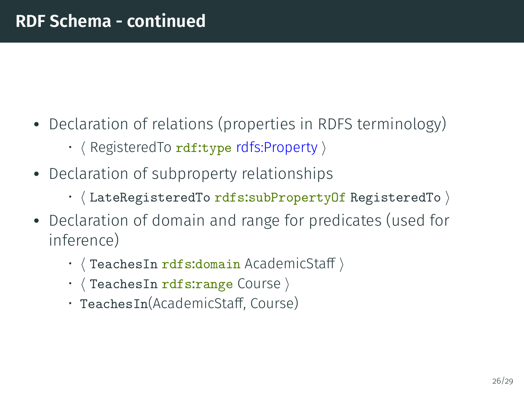- Declaration of relations (properties in RDFS terminology)
	- $\cdot$   $\langle$  RegisteredTo rdf:type rdfs:Property  $\rangle$
- Declaration of subproperty relationships
	- $\cdot$  (LateRegisteredTo rdfs:subPropertyOf RegisteredTo )
- Declaration of domain and range for predicates (used for inference)
	- TeachesIn rdfs:domain AcademicStaff)
	- $\cdot$   $\langle$  TeachesIn rdfs:range Course  $\rangle$
	- TeachesIn(AcademicStaff, Course)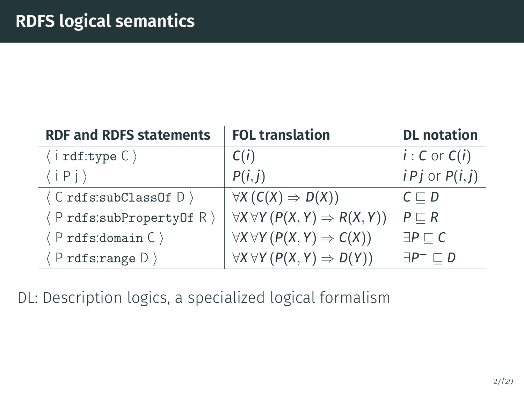| <b>RDF and RDFS statements</b>             | <b>FOL translation</b>                              | <b>DL</b> notation          |
|--------------------------------------------|-----------------------------------------------------|-----------------------------|
| $\langle$ i rdf:type $C \rangle$           | C(i)                                                | $i: C$ or $C(i)$            |
| $\langle i P j \rangle$                    | P(i, j)                                             | $i P j$ or $P(i, j)$        |
| $\langle$ C rdfs:subClassOf D $\rangle$    | $\forall X (C(X) \Rightarrow D(X))$                 | $C \sqsubset D$             |
| $\langle$ P rdfs:subPropertyOf R $\rangle$ | $\forall X \forall Y (P(X, Y) \Rightarrow R(X, Y))$ | $P \sqsubset R$             |
| $\langle$ P rdfs: domain C $\rangle$       | $\forall X \forall Y (P(X, Y) \Rightarrow C(X))$    | $\exists P \sqsubset C$     |
| $\langle$ P rdfs:range D $\rangle$         | $\forall X \forall Y (P(X, Y) \Rightarrow D(Y))$    | $\exists P^{-} \sqsubset D$ |

DL: Description logics, a specialized logical formalism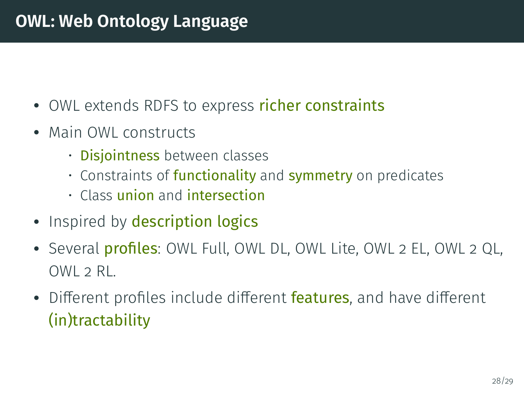### **OWL: Web Ontology Language**

- OWL extends RDFS to express richer constraints
- Main OWL constructs
	- Disjointness between classes
	- Constraints of **functionality** and **symmetry** on predicates
	- Class union and intersection
- Inspired by description logics
- Several profiles: OWL Full, OWL DL, OWL Lite, OWL 2 EL, OWL 2 QL,  $OWI \supset RI$ .
- Different profiles include different features, and have different (in)tractability